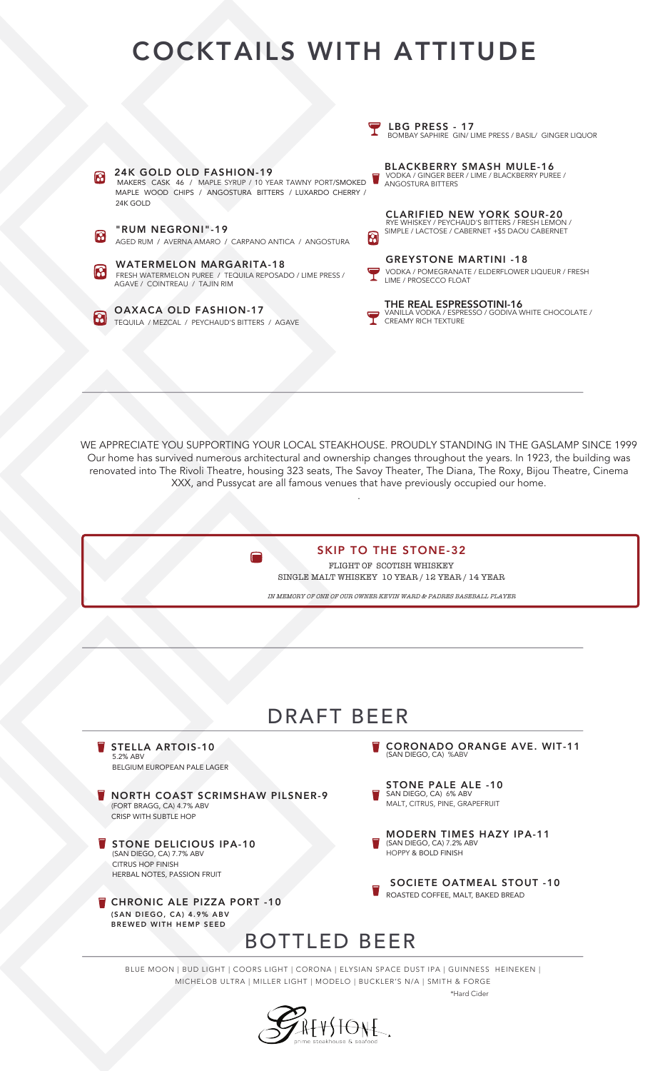## COCKTAILS WITH ATTITUDE



WE APPRECIATE YOU SUPPORTING YOUR LOCAL STEAKHOUSE. PROUDLY STANDING IN THE GASLAMP SINCE 1999 Our home has survived numerous architectural and ownership changes throughout the years. In 1923, the building was renovated into The Rivoli Theatre, housing 323 seats, The Savoy Theater, The Diana, The Roxy, Bijou Theatre, Cinema XXX, and Pussycat are all famous venues that have previously occupied our home.

.

 $\blacksquare$ 

SKIP TO THE STONE-32



AFTSTONE.